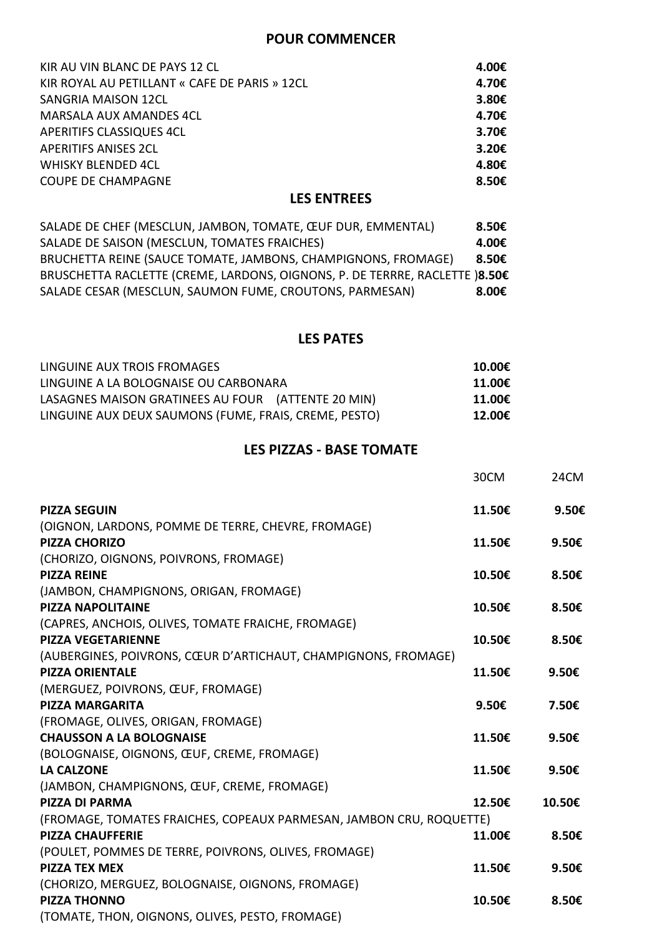## **POUR COMMENCER**

| KIR AU VIN BLANC DE PAYS 12 CL                | 4.00€           |
|-----------------------------------------------|-----------------|
| KIR ROYAL AU PETILLANT « CAFE DE PARIS » 12CL | 4.70€           |
| <b>SANGRIA MAISON 12CL</b>                    | 3.80E           |
| <b>MARSALA AUX AMANDES 4CL</b>                | 4.70€           |
| <b>APERITIFS CLASSIQUES 4CL</b>               | 3.70€           |
| <b>APERITIFS ANISES 2CL</b>                   | 3.20 $\epsilon$ |
| <b>WHISKY BLENDED 4CL</b>                     | 4.80€           |
| <b>COUPE DE CHAMPAGNE</b>                     | 8.50€           |
|                                               |                 |

# **LES ENTREES**

| SALADE DE CHEF (MESCLUN, JAMBON, TOMATE, ŒUF DUR, EMMENTAL)                 | 8.50€ |
|-----------------------------------------------------------------------------|-------|
| SALADE DE SAISON (MESCLUN, TOMATES FRAICHES)                                | 4.00€ |
| BRUCHETTA REINE (SAUCE TOMATE, JAMBONS, CHAMPIGNONS, FROMAGE)               | 8.50€ |
| BRUSCHETTA RACLETTE (CREME, LARDONS, OIGNONS, P. DE TERRRE, RACLETTE )8.50€ |       |
| SALADE CESAR (MESCLUN, SAUMON FUME, CROUTONS, PARMESAN)                     | 8.00€ |

## **LES PATES**

| LINGUINE AUX TROIS FROMAGES                           | 10.00€ |
|-------------------------------------------------------|--------|
| LINGUINE A LA BOLOGNAISE OU CARBONARA                 | 11.00€ |
| LASAGNES MAISON GRATINEES AU FOUR (ATTENTE 20 MIN)    | 11.00€ |
| LINGUINE AUX DEUX SAUMONS (FUME, FRAIS, CREME, PESTO) | 12.00€ |

# **LES PIZZAS - BASE TOMATE**

|                                                                     | 30CM   | 24CM   |
|---------------------------------------------------------------------|--------|--------|
| <b>PIZZA SEGUIN</b>                                                 | 11.50€ | 9.50€  |
| (OIGNON, LARDONS, POMME DE TERRE, CHEVRE, FROMAGE)                  |        |        |
| <b>PIZZA CHORIZO</b>                                                | 11.50€ | 9.50€  |
| (CHORIZO, OIGNONS, POIVRONS, FROMAGE)                               |        |        |
| <b>PIZZA REINE</b>                                                  | 10.50€ | 8.50€  |
| (JAMBON, CHAMPIGNONS, ORIGAN, FROMAGE)                              |        |        |
| <b>PIZZA NAPOLITAINE</b>                                            | 10.50€ | 8.50€  |
| (CAPRES, ANCHOIS, OLIVES, TOMATE FRAICHE, FROMAGE)                  |        |        |
| <b>PIZZA VEGETARIENNE</b>                                           | 10.50€ | 8.50€  |
| (AUBERGINES, POIVRONS, CŒUR D'ARTICHAUT, CHAMPIGNONS, FROMAGE)      |        |        |
| <b>PIZZA ORIENTALE</b>                                              | 11.50€ | 9.50€  |
| (MERGUEZ, POIVRONS, ŒUF, FROMAGE)                                   |        |        |
| <b>PIZZA MARGARITA</b>                                              | 9.50€  | 7.50€  |
| (FROMAGE, OLIVES, ORIGAN, FROMAGE)                                  |        |        |
| <b>CHAUSSON A LA BOLOGNAISE</b>                                     | 11.50€ | 9.50€  |
| (BOLOGNAISE, OIGNONS, ŒUF, CREME, FROMAGE)                          |        |        |
| <b>LA CALZONE</b>                                                   | 11.50€ | 9.50€  |
| (JAMBON, CHAMPIGNONS, ŒUF, CREME, FROMAGE)                          |        |        |
| <b>PIZZA DI PARMA</b>                                               | 12.50€ | 10.50€ |
| (FROMAGE, TOMATES FRAICHES, COPEAUX PARMESAN, JAMBON CRU, ROQUETTE) |        |        |
| <b>PIZZA CHAUFFERIE</b>                                             | 11.00€ | 8.50€  |
| (POULET, POMMES DE TERRE, POIVRONS, OLIVES, FROMAGE)                |        |        |
| <b>PIZZA TEX MEX</b>                                                | 11.50€ | 9.50€  |
| (CHORIZO, MERGUEZ, BOLOGNAISE, OIGNONS, FROMAGE)                    |        |        |
| <b>PIZZA THONNO</b>                                                 | 10.50€ | 8.50€  |
| (TOMATE, THON, OIGNONS, OLIVES, PESTO, FROMAGE)                     |        |        |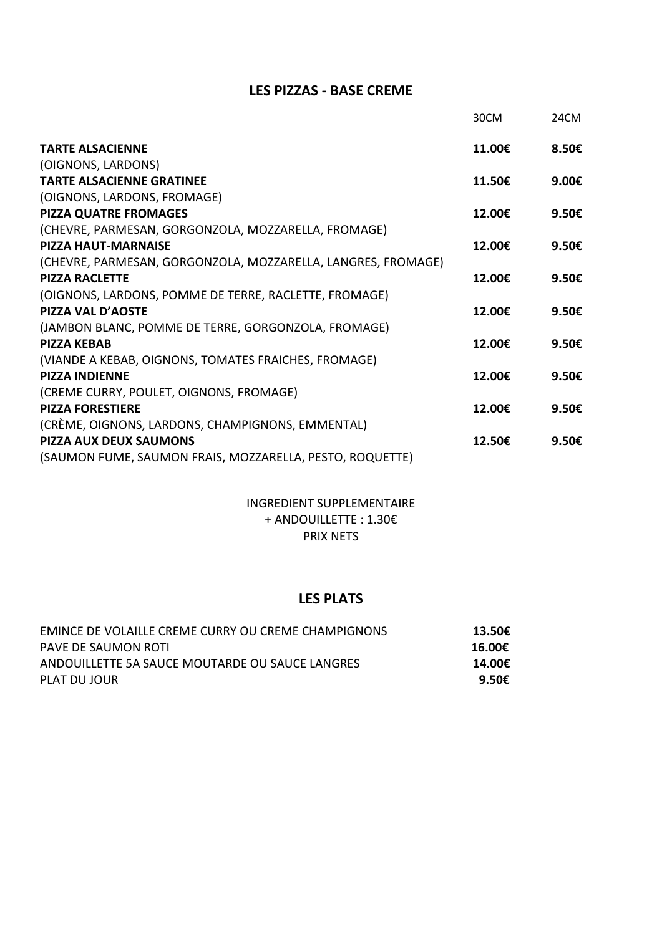## **LES PIZZAS - BASE CREME**

|                                                              | 30CM   | 24CM            |
|--------------------------------------------------------------|--------|-----------------|
| <b>TARTE ALSACIENNE</b>                                      | 11.00€ | 8.50€           |
| (OIGNONS, LARDONS)                                           |        |                 |
| <b>TARTE ALSACIENNE GRATINEE</b>                             | 11.50€ | 9.00€           |
| (OIGNONS, LARDONS, FROMAGE)                                  |        |                 |
| <b>PIZZA QUATRE FROMAGES</b>                                 | 12.00€ | 9.50€           |
| (CHEVRE, PARMESAN, GORGONZOLA, MOZZARELLA, FROMAGE)          |        |                 |
| <b>PIZZA HAUT-MARNAISE</b>                                   | 12.00€ | 9.50€           |
| (CHEVRE, PARMESAN, GORGONZOLA, MOZZARELLA, LANGRES, FROMAGE) |        |                 |
| <b>PIZZA RACLETTE</b>                                        | 12.00€ | 9.50 $\epsilon$ |
| (OIGNONS, LARDONS, POMME DE TERRE, RACLETTE, FROMAGE)        |        |                 |
| PIZZA VAL D'AOSTE                                            | 12.00€ | 9.50€           |
| (JAMBON BLANC, POMME DE TERRE, GORGONZOLA, FROMAGE)          |        |                 |
| <b>PIZZA KFBAB</b>                                           | 12.00€ | 9.50€           |
| (VIANDE A KEBAB, OIGNONS, TOMATES FRAICHES, FROMAGE)         |        |                 |
| <b>PIZZA INDIFNNF</b>                                        | 12.00€ | 9.50€           |
| (CREME CURRY, POULET, OIGNONS, FROMAGE)                      |        |                 |
| <b>PIZZA FORESTIERE</b>                                      | 12.00€ | 9.50 $\epsilon$ |
| (CRÈME, OIGNONS, LARDONS, CHAMPIGNONS, EMMENTAL)             |        |                 |
| <b>PIZZA AUX DEUX SAUMONS</b>                                | 12.50€ | 9.50 $\epsilon$ |
| (SAUMON FUME, SAUMON FRAIS, MOZZARELLA, PESTO, ROQUETTE)     |        |                 |

### INGREDIENT SUPPLEMENTAIRE + ANDOUILLETTE : 1.30€ PRIX NETS

## **LES PLATS**

| <b>EMINCE DE VOLAILLE CREME CURRY OU CREME CHAMPIGNONS</b> | 13.50€          |
|------------------------------------------------------------|-----------------|
| PAVE DE SAUMON ROTI                                        | 16.00€          |
| ANDOUILLETTE 5A SAUCE MOUTARDE OU SAUCE LANGRES            | 14.00€          |
| PLAT DU JOUR                                               | 9.50 $\epsilon$ |